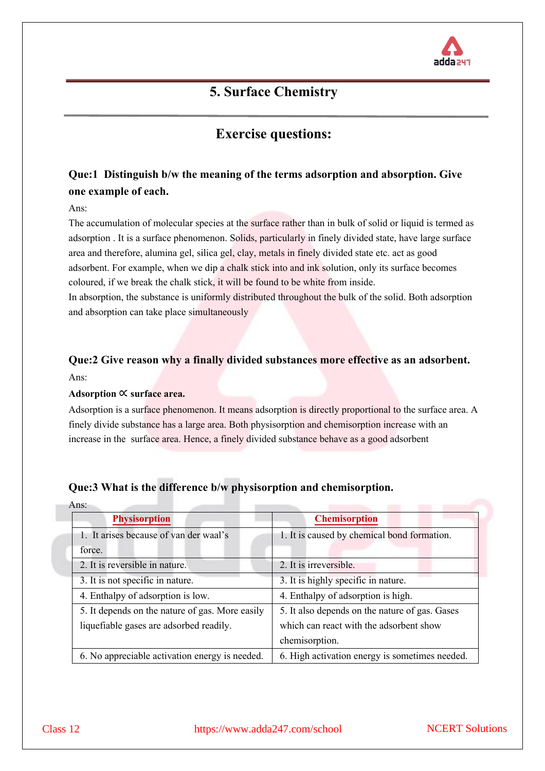

## **5. Surface Chemistry**

## **Exercise questions:**

## **Que:1 Distinguish b/w the meaning of the terms adsorption and absorption. Give one example of each.**

Ans:

The accumulation of molecular species at the surface rather than in bulk of solid or liquid is termed as adsorption . It is a surface phenomenon. Solids, particularly in finely divided state, have large surface area and therefore, alumina gel, silica gel, clay, metals in finely divided state etc. act as good adsorbent. For example, when we dip a chalk stick into and ink solution, only its surface becomes coloured, if we break the chalk stick, it will be found to be white from inside.

In absorption, the substance is uniformly distributed throughout the bulk of the solid. Both adsorption and absorption can take place simultaneously

## **Que:2 Give reason why a finally divided substances more effective as an adsorbent.** Ans:

#### **Adsorption** ∝ **surface area.**

Adsorption is a surface phenomenon. It means adsorption is directly proportional to the surface area. A finely divide substance has a large area. Both physisorption and chemisorption increase with an increase in the surface area. Hence, a finely divided substance behave as a good adsorbent

## **Que:3 What is the difference b/w physisorption and chemisorption.**

| Ans:                                            |                                                |  |  |
|-------------------------------------------------|------------------------------------------------|--|--|
| <b>Physisorption</b>                            | <b>Chemisorption</b>                           |  |  |
| 1. It arises because of van der waal's          | 1. It is caused by chemical bond formation.    |  |  |
| force.                                          |                                                |  |  |
| 2. It is reversible in nature.                  | 2. It is irreversible.                         |  |  |
| 3. It is not specific in nature.                | 3. It is highly specific in nature.            |  |  |
| 4. Enthalpy of adsorption is low.               | 4. Enthalpy of adsorption is high.             |  |  |
| 5. It depends on the nature of gas. More easily | 5. It also depends on the nature of gas. Gases |  |  |
| liquefiable gases are adsorbed readily.         | which can react with the adsorbent show        |  |  |
|                                                 | chemisorption.                                 |  |  |
| 6. No appreciable activation energy is needed.  | 6. High activation energy is sometimes needed. |  |  |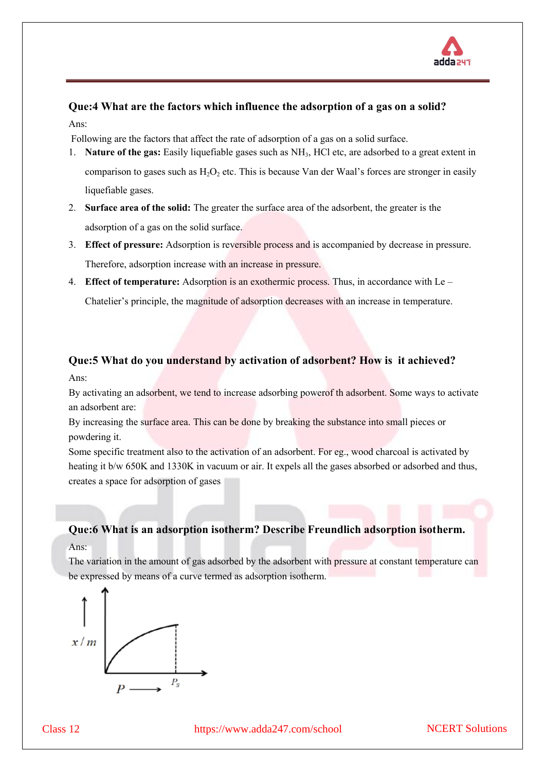

## **Que:4 What are the factors which influence the adsorption of a gas on a solid?** Ans:

Following are the factors that affect the rate of adsorption of a gas on a solid surface.

- 1. **Nature of the gas:** Easily liquefiable gases such as NH3, HCl etc, are adsorbed to a great extent in comparison to gases such as  $H_2O_2$  etc. This is because Van der Waal's forces are stronger in easily liquefiable gases.
- 2. **Surface area of the solid:** The greater the surface area of the adsorbent, the greater is the adsorption of a gas on the solid surface.
- 3. **Effect of pressure:** Adsorption is reversible process and is accompanied by decrease in pressure. Therefore, adsorption increase with an increase in pressure.
- 4. **Effect of temperature:** Adsorption is an exothermic process. Thus, in accordance with Le Chatelier's principle, the magnitude of adsorption decreases with an increase in temperature.

# **Que:5 What do you understand by activation of adsorbent? How is it achieved?**

Ans:

By activating an adsorbent, we tend to increase adsorbing powerof th adsorbent. Some ways to activate an adsorbent are:

By increasing the surface area. This can be done by breaking the substance into small pieces or powdering it.

Some specific treatment also to the activation of an adsorbent. For eg., wood charcoal is activated by heating it b/w 650K and 1330K in vacuum or air. It expels all the gases absorbed or adsorbed and thus, creates a space for adsorption of gases

## **Que:6 What is an adsorption isotherm? Describe Freundlich adsorption isotherm.** Ans:

The variation in the amount of gas adsorbed by the adsorbent with pressure at constant temperature can be expressed by means of a curve termed as adsorption isotherm.

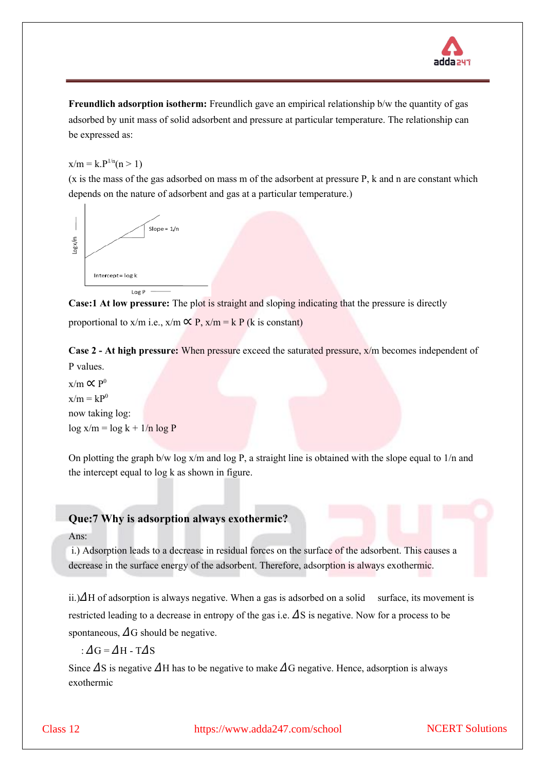

**Freundlich adsorption isotherm:** Freundlich gave an empirical relationship b/w the quantity of gas adsorbed by unit mass of solid adsorbent and pressure at particular temperature. The relationship can be expressed as:

 $x/m = k.P^{1/n}(n > 1)$ 

(x is the mass of the gas adsorbed on mass m of the adsorbent at pressure P, k and n are constant which depends on the nature of adsorbent and gas at a particular temperature.)



**Case:1 At low pressure:** The plot is straight and sloping indicating that the pressure is directly proportional to x/m i.e.,  $x/m \propto P$ ,  $x/m = k P$  (k is constant)

**Case 2 - At high pressure:** When pressure exceed the saturated pressure, x/m becomes independent of P values.

 $x/m \propto P^0$  $x/m = kP<sup>0</sup>$ now taking log:  $\log x/m = \log k + 1/n \log P$ 

On plotting the graph b/w log x/m and log P, a straight line is obtained with the slope equal to 1/n and the intercept equal to log k as shown in figure.

## **Que:7 Why is adsorption always exothermic?**

#### Ans:

i.) Adsorption leads to a decrease in residual forces on the surface of the adsorbent. This causes a decrease in the surface energy of the adsorbent. Therefore, adsorption is always exothermic.

ii.) $\Delta H$  of adsorption is always negative. When a gas is adsorbed on a solid surface, its movement is restricted leading to a decrease in entropy of the gas i.e.  $\Delta S$  is negative. Now for a process to be spontaneous,  $\Delta G$  should be negative.

:  $\Delta G = \Delta H - T \Delta S$ 

Since  $\Delta$ S is negative  $\Delta$ H has to be negative to make  $\Delta$ G negative. Hence, adsorption is always exothermic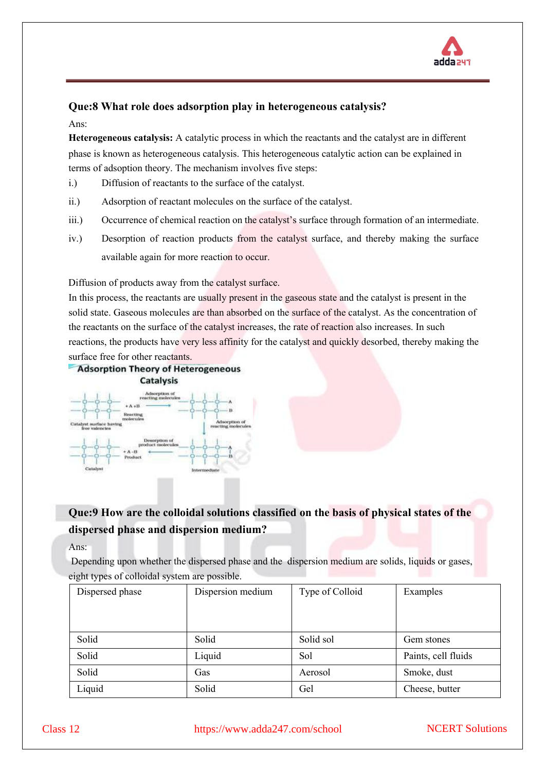

## **Que:8 What role does adsorption play in heterogeneous catalysis?**

#### Ans:

**Heterogeneous catalysis:** A catalytic process in which the reactants and the catalyst are in different phase is known as heterogeneous catalysis. This heterogeneous catalytic action can be explained in terms of adsoption theory. The mechanism involves five steps:

- i.) Diffusion of reactants to the surface of the catalyst.
- ii.) Adsorption of reactant molecules on the surface of the catalyst.
- iii.) Occurrence of chemical reaction on the catalyst's surface through formation of an intermediate.
- iv.) Desorption of reaction products from the catalyst surface, and thereby making the surface available again for more reaction to occur.

Diffusion of products away from the catalyst surface.

In this process, the reactants are usually present in the gaseous state and the catalyst is present in the solid state. Gaseous molecules are than absorbed on the surface of the catalyst. As the concentration of the reactants on the surface of the catalyst increases, the rate of reaction also increases. In such reactions, the products have very less affinity for the catalyst and quickly desorbed, thereby making the





## **Que:9 How are the colloidal solutions classified on the basis of physical states of the dispersed phase and dispersion medium?**

Ans:

Depending upon whether the dispersed phase and the dispersion medium are solids, liquids or gases, eight types of colloidal system are possible.

| Dispersed phase | Dispersion medium | Type of Colloid | Examples            |
|-----------------|-------------------|-----------------|---------------------|
|                 |                   |                 |                     |
|                 |                   |                 |                     |
| Solid           | Solid             | Solid sol       | Gem stones          |
| Solid           | Liquid            | Sol             | Paints, cell fluids |
| Solid           | Gas               | Aerosol         | Smoke, dust         |
| Liquid          | Solid             | Gel             | Cheese, butter      |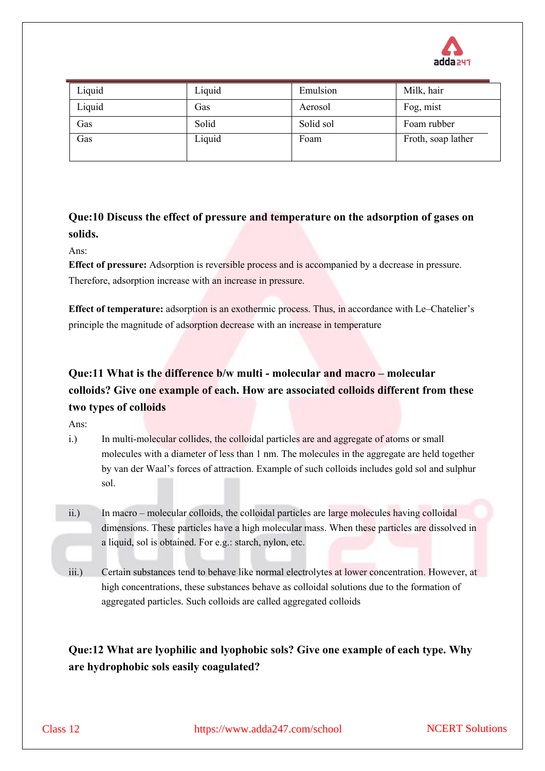

| Liquid | Liquid | Emulsion  | Milk, hair         |
|--------|--------|-----------|--------------------|
| Liquid | Gas    | Aerosol   | Fog, mist          |
| Gas    | Solid  | Solid sol | Foam rubber        |
| Gas    | Liquid | Foam      | Froth, soap lather |
|        |        |           |                    |

**Que:10 Discuss the effect of pressure and temperature on the adsorption of gases on solids.**

Ans:

**Effect of pressure:** Adsorption is reversible process and is accompanied by a decrease in pressure. Therefore, adsorption increase with an increase in pressure.

**Effect of temperature:** adsorption is an exothermic process. Thus, in accordance with Le–Chatelier's principle the magnitude of adsorption decrease with an increase in temperature

## **Que:11 What is the difference b/w multi - molecular and macro – molecular colloids? Give one example of each. How are associated colloids different from these two types of colloids**

Ans:

- i.) In multi-molecular collides, the colloidal particles are and aggregate of atoms or small molecules with a diameter of less than 1 nm. The molecules in the aggregate are held together by van der Waal's forces of attraction. Example of such colloids includes gold sol and sulphur sol.
- ii.) In macro molecular colloids, the colloidal particles are large molecules having colloidal dimensions. These particles have a high molecular mass. When these particles are dissolved in a liquid, sol is obtained. For e.g.: starch, nylon, etc.
- iii.) Certain substances tend to behave like normal electrolytes at lower concentration. However, at high concentrations, these substances behave as colloidal solutions due to the formation of aggregated particles. Such colloids are called aggregated colloids

**Que:12 What are lyophilic and lyophobic sols? Give one example of each type. Why are hydrophobic sols easily coagulated?**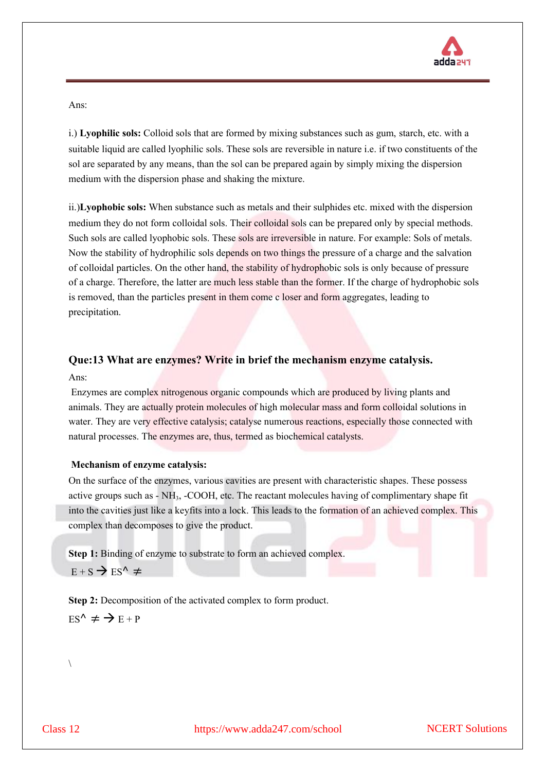

Ans:

i.) **Lyophilic sols:** Colloid sols that are formed by mixing substances such as gum, starch, etc. with a suitable liquid are called lyophilic sols. These sols are reversible in nature i.e. if two constituents of the sol are separated by any means, than the sol can be prepared again by simply mixing the dispersion medium with the dispersion phase and shaking the mixture.

ii.)**Lyophobic sols:** When substance such as metals and their sulphides etc. mixed with the dispersion medium they do not form colloidal sols. Their colloidal sols can be prepared only by special methods. Such sols are called lyophobic sols. These sols are irreversible in nature. For example: Sols of metals. Now the stability of hydrophilic sols depends on two things the pressure of a charge and the salvation of colloidal particles. On the other hand, the stability of hydrophobic sols is only because of pressure of a charge. Therefore, the latter are much less stable than the former. If the charge of hydrophobic sols is removed, than the particles present in them come c loser and form aggregates, leading to precipitation.

## **Que:13 What are enzymes? Write in brief the mechanism enzyme catalysis.** Ans:

Enzymes are complex nitrogenous organic compounds which are produced by living plants and animals. They are actually protein molecules of high molecular mass and form colloidal solutions in water. They are very effective catalysis; catalyse numerous reactions, especially those connected with natural processes. The enzymes are, thus, termed as biochemical catalysts.

## **Mechanism of enzyme catalysis:**

On the surface of the enzymes, various cavities are present with characteristic shapes. These possess active groups such as - NH<sub>3</sub>, -COOH, etc. The reactant molecules having of complimentary shape fit into the cavities just like a keyfits into a lock. This leads to the formation of an achieved complex. This complex than decomposes to give the product.

**Step 1:** Binding of enzyme to substrate to form an achieved complex.  $E + S \rightarrow ES^{\wedge} \neq$ 

**Step 2:** Decomposition of the activated complex to form product.  $ES^{\wedge} \neq \rightarrow E + P$ 

 $\setminus$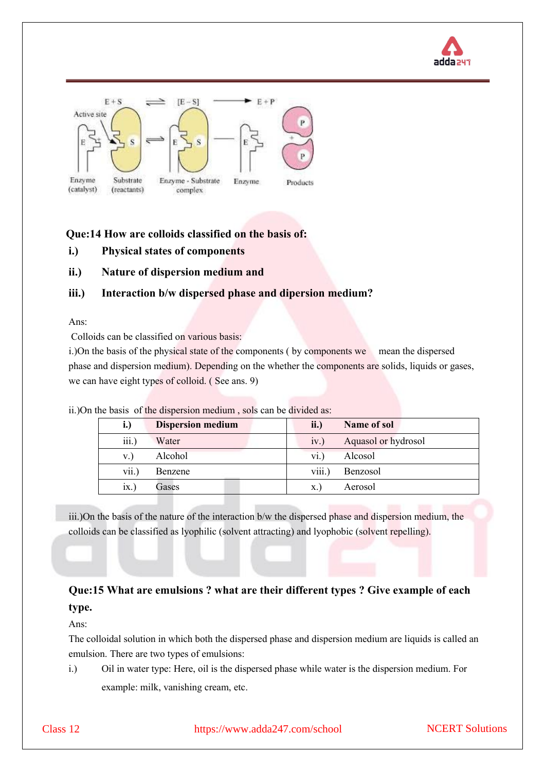



## **Que:14 How are colloids classified on the basis of:**

- **i.) Physical states of components**
- **ii.) Nature of dispersion medium and**

## **iii.) Interaction b/w dispersed phase and dipersion medium?**

Ans:

Colloids can be classified on various basis:

i.)On the basis of the physical state of the components ( by components we mean the dispersed phase and dispersion medium). Depending on the whether the components are solids, liquids or gases, we can have eight types of colloid. (See ans. 9)

| $\mathbf{L}$ | <b>Dispersion medium</b> | ii.)   | Name of sol         |
|--------------|--------------------------|--------|---------------------|
| iii.)        | Water                    | iv.    | Aquasol or hydrosol |
| V.           | Alcohol                  | V1.    | Alcosol             |
| vii.         | Benzene                  | viii.) | Benzosol            |
| 1X.          | Gases                    | х.     | Aerosol             |

ii.)On the basis of the dispersion medium , sols can be divided as:

iii.)On the basis of the nature of the interaction b/w the dispersed phase and dispersion medium, the colloids can be classified as lyophilic (solvent attracting) and lyophobic (solvent repelling).

## **Que:15 What are emulsions ? what are their different types ? Give example of each type.**

Ans:

The colloidal solution in which both the dispersed phase and dispersion medium are liquids is called an emulsion. There are two types of emulsions:

i.) Oil in water type: Here, oil is the dispersed phase while water is the dispersion medium. For example: milk, vanishing cream, etc.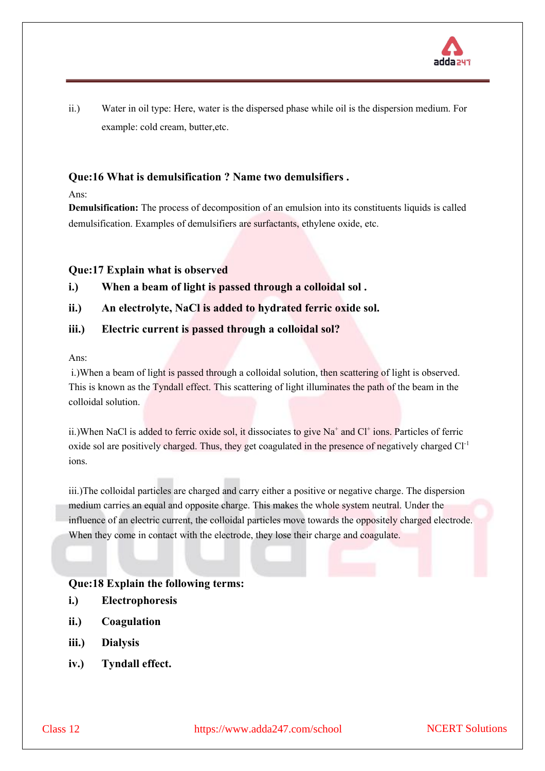

ii.) Water in oil type: Here, water is the dispersed phase while oil is the dispersion medium. For example: cold cream, butter,etc.

## **Que:16 What is demulsification ? Name two demulsifiers .**

Ans:

**Demulsification:** The process of decomposition of an emulsion into its constituents liquids is called demulsification. Examples of demulsifiers are surfactants, ethylene oxide, etc.

## **Que:17 Explain what is observed**

**i.) When a beam of light is passed through a colloidal sol .** 

## **ii.) An electrolyte, NaCl is added to hydrated ferric oxide sol.**

## **iii.) Electric current is passed through a colloidal sol?**

Ans:

i.)When a beam of light is passed through a colloidal solution, then scattering of light is observed. This is known as the Tyndall effect. This scattering of light illuminates the path of the beam in the colloidal solution.

ii.)When NaCl is added to ferric oxide sol, it dissociates to give Na<sup>+</sup> and Cl<sup>+</sup> ions. Particles of ferric oxide sol are positively charged. Thus, they get coagulated in the presence of negatively charged Cl<sup>-1</sup> ions.

iii.)The colloidal particles are charged and carry either a positive or negative charge. The dispersion medium carries an equal and opposite charge. This makes the whole system neutral. Under the influence of an electric current, the colloidal particles move towards the oppositely charged electrode. When they come in contact with the electrode, they lose their charge and coagulate.

#### **Que:18 Explain the following terms:**

- **i.) Electrophoresis**
- **ii.) Coagulation**
- **iii.) Dialysis**
- **iv.) Tyndall effect.**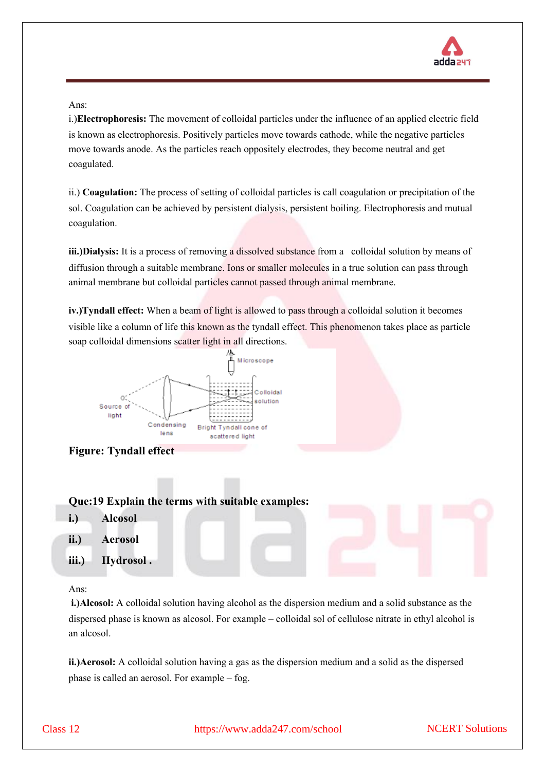

Ans:

i.)**Electrophoresis:** The movement of colloidal particles under the influence of an applied electric field is known as electrophoresis. Positively particles move towards cathode, while the negative particles move towards anode. As the particles reach oppositely electrodes, they become neutral and get coagulated.

ii.) **Coagulation:** The process of setting of colloidal particles is call coagulation or precipitation of the sol. Coagulation can be achieved by persistent dialysis, persistent boiling. Electrophoresis and mutual coagulation.

**iii.)Dialysis:** It is a process of removing a dissolved substance from a colloidal solution by means of diffusion through a suitable membrane. Ions or smaller molecules in a true solution can pass through animal membrane but colloidal particles cannot passed through animal membrane.

**iv.)Tyndall effect:** When a beam of light is allowed to pass through a colloidal solution it becomes visible like a column of life this known as the tyndall effect. This phenomenon takes place as particle soap colloidal dimensions scatter light in all directions.





## **Que:19 Explain the terms with suitable examples:**

- **i.) Alcosol**
- **ii.) Aerosol**
- **iii.) Hydrosol .**

Ans:

**i.)Alcosol:** A colloidal solution having alcohol as the dispersion medium and a solid substance as the dispersed phase is known as alcosol. For example – colloidal sol of cellulose nitrate in ethyl alcohol is an alcosol.

**ii.)Aerosol:** A colloidal solution having a gas as the dispersion medium and a solid as the dispersed phase is called an aerosol. For example – fog.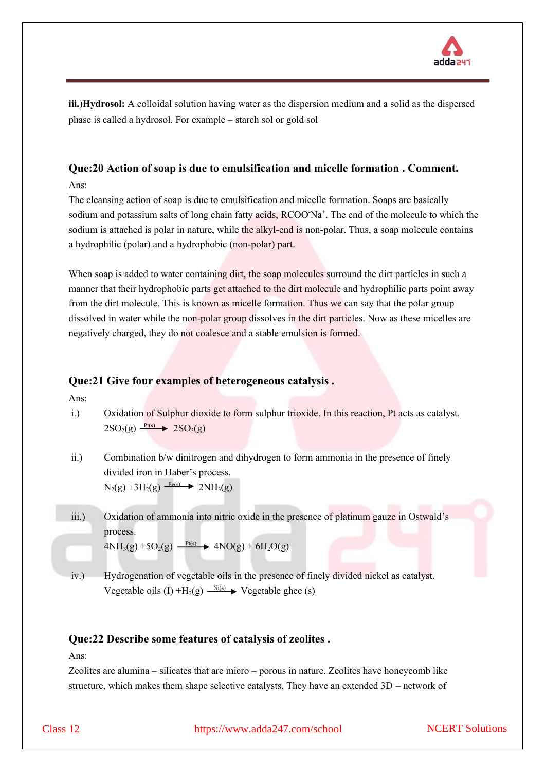

**iii.**)**Hydrosol:** A colloidal solution having water as the dispersion medium and a solid as the dispersed phase is called a hydrosol. For example – starch sol or gold sol

## **Que:20 Action of soap is due to emulsification and micelle formation . Comment.**

Ans:

The cleansing action of soap is due to emulsification and micelle formation. Soaps are basically sodium and potassium salts of long chain fatty acids, RCOO Na<sup>+</sup>. The end of the molecule to which the sodium is attached is polar in nature, while the alkyl-end is non-polar. Thus, a soap molecule contains a hydrophilic (polar) and a hydrophobic (non-polar) part.

When soap is added to water containing dirt, the soap molecules surround the dirt particles in such a manner that their hydrophobic parts get attached to the dirt molecule and hydrophilic parts point away from the dirt molecule. This is known as micelle formation. Thus we can say that the polar group dissolved in water while the non-polar group dissolves in the dirt particles. Now as these micelles are negatively charged, they do not coalesce and a stable emulsion is formed.

## **Que:21 Give four examples of heterogeneous catalysis .**

Ans:

i.) Oxidation of Sulphur dioxide to form sulphur trioxide. In this reaction, Pt acts as catalyst.  $2SO_2(g) \xrightarrow{Pt(s)} 2SO_3(g)$ 

ii.) Combination b/w dinitrogen and dihydrogen to form ammonia in the presence of finely divided iron in Haber's process.  $N_2(g) + 3H_2(g) \xrightarrow{Fe(s)} 2NH_3(g)$ 

iii.) Oxidation of ammonia into nitric oxide in the presence of platinum gauze in Ostwald's process.  $4NH_3(g) + 5O_2(g) \xrightarrow{Pt(s)} 4NO(g) + 6H_2O(g)$ 

iv.) Hydrogenation of vegetable oils in the presence of finely divided nickel as catalyst. Vegetable oils (I) + $H_2(g) \xrightarrow{Ni(s)} V$ egetable ghee (s)

## **Que:22 Describe some features of catalysis of zeolites .**

Ans:

Zeolites are alumina – silicates that are micro – porous in nature. Zeolites have honeycomb like structure, which makes them shape selective catalysts. They have an extended 3D – network of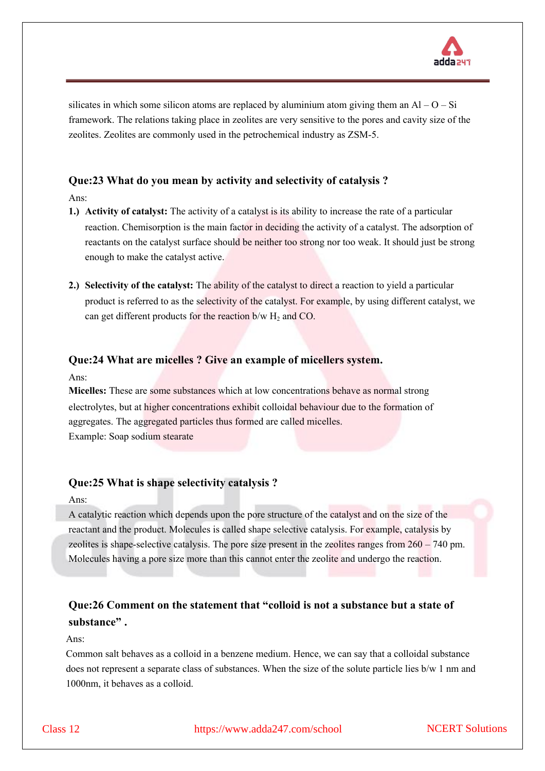

silicates in which some silicon atoms are replaced by aluminium atom giving them an  $AI - O - Si$ framework. The relations taking place in zeolites are very sensitive to the pores and cavity size of the zeolites. Zeolites are commonly used in the petrochemical industry as ZSM-5.

## **Que:23 What do you mean by activity and selectivity of catalysis ?**

Ans:

- **1.) Activity of catalyst:** The activity of a catalyst is its ability to increase the rate of a particular reaction. Chemisorption is the main factor in deciding the activity of a catalyst. The adsorption of reactants on the catalyst surface should be neither too strong nor too weak. It should just be strong enough to make the catalyst active.
- **2.) Selectivity of the catalyst:** The ability of the catalyst to direct a reaction to yield a particular product is referred to as the selectivity of the catalyst. For example, by using different catalyst, we can get different products for the reaction  $b/w H_2$  and CO.

#### **Que:24 What are micelles ? Give an example of micellers system.**

Ans:

**Micelles:** These are some substances which at low concentrations behave as normal strong electrolytes, but at higher concentrations exhibit colloidal behaviour due to the formation of aggregates. The aggregated particles thus formed are called micelles. Example: Soap sodium stearate

#### **Que:25 What is shape selectivity catalysis ?**

Ans:

A catalytic reaction which depends upon the pore structure of the catalyst and on the size of the reactant and the product. Molecules is called shape selective catalysis. For example, catalysis by zeolites is shape-selective catalysis. The pore size present in the zeolites ranges from 260 – 740 pm. Molecules having a pore size more than this cannot enter the zeolite and undergo the reaction.

## **Que:26 Comment on the statement that "colloid is not a substance but a state of substance" .**

Ans:

Common salt behaves as a colloid in a benzene medium. Hence, we can say that a colloidal substance does not represent a separate class of substances. When the size of the solute particle lies b/w 1 nm and 1000nm, it behaves as a colloid.